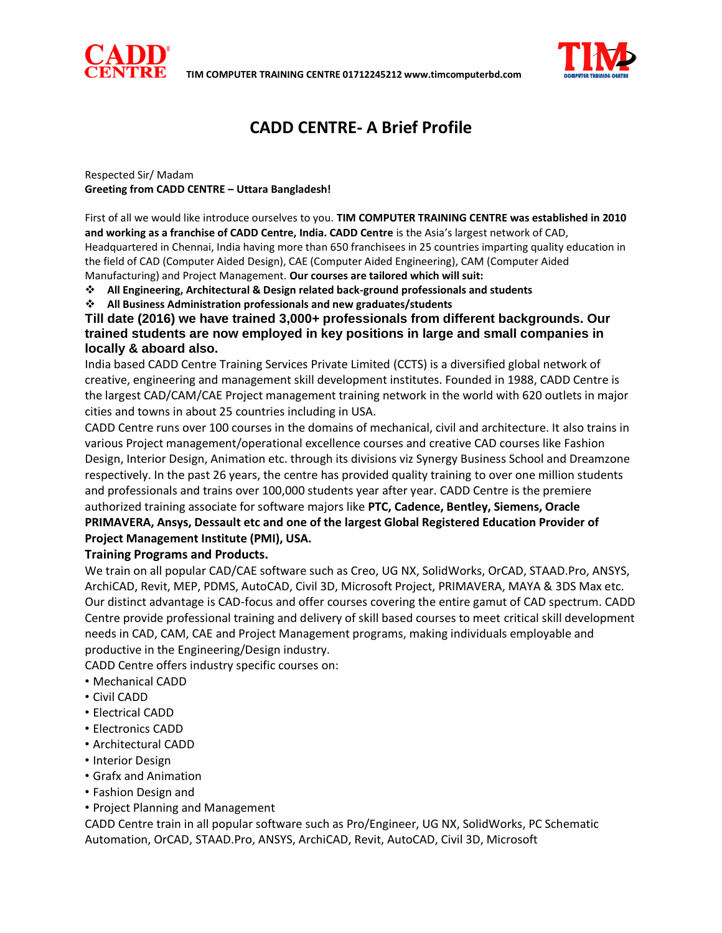



# **CADD CENTRE- A Brief Profile**

Respected Sir/ Madam **Greeting from CADD CENTRE – Uttara Bangladesh!** 

First of all we would like introduce ourselves to you. **TIM COMPUTER TRAINING CENTRE was established in 2010 and working as a franchise of CADD Centre, India. CADD Centre** is the Asia's largest network of CAD, Headquartered in Chennai, India having more than 650 franchisees in 25 countries imparting quality education in the field of CAD (Computer Aided Design), CAE (Computer Aided Engineering), CAM (Computer Aided Manufacturing) and Project Management. **Our courses are tailored which will suit:** 

**All Engineering, Architectural & Design related back-ground professionals and students** 

**All Business Administration professionals and new graduates/students** 

**Till date (2016) we have trained 3,000+ professionals from different backgrounds. Our trained students are now employed in key positions in large and small companies in locally & aboard also.**

India based CADD Centre Training Services Private Limited (CCTS) is a diversified global network of creative, engineering and management skill development institutes. Founded in 1988, CADD Centre is the largest CAD/CAM/CAE Project management training network in the world with 620 outlets in major cities and towns in about 25 countries including in USA.

CADD Centre runs over 100 courses in the domains of mechanical, civil and architecture. It also trains in various Project management/operational excellence courses and creative CAD courses like Fashion Design, Interior Design, Animation etc. through its divisions viz Synergy Business School and Dreamzone respectively. In the past 26 years, the centre has provided quality training to over one million students and professionals and trains over 100,000 students year after year. CADD Centre is the premiere authorized training associate for software majors like **PTC, Cadence, Bentley, Siemens, Oracle PRIMAVERA, Ansys, Dessault etc and one of the largest Global Registered Education Provider of Project Management Institute (PMI), USA.** 

#### **Training Programs and Products.**

We train on all popular CAD/CAE software such as Creo, UG NX, SolidWorks, OrCAD, STAAD.Pro, ANSYS, ArchiCAD, Revit, MEP, PDMS, AutoCAD, Civil 3D, Microsoft Project, PRIMAVERA, MAYA & 3DS Max etc. Our distinct advantage is CAD-focus and offer courses covering the entire gamut of CAD spectrum. CADD Centre provide professional training and delivery of skill based courses to meet critical skill development needs in CAD, CAM, CAE and Project Management programs, making individuals employable and productive in the Engineering/Design industry.

CADD Centre offers industry specific courses on:

- Mechanical CADD
- Civil CADD
- Electrical CADD
- Electronics CADD
- Architectural CADD
- Interior Design
- Grafx and Animation
- Fashion Design and
- Project Planning and Management

CADD Centre train in all popular software such as Pro/Engineer, UG NX, SolidWorks, PC Schematic Automation, OrCAD, STAAD.Pro, ANSYS, ArchiCAD, Revit, AutoCAD, Civil 3D, Microsoft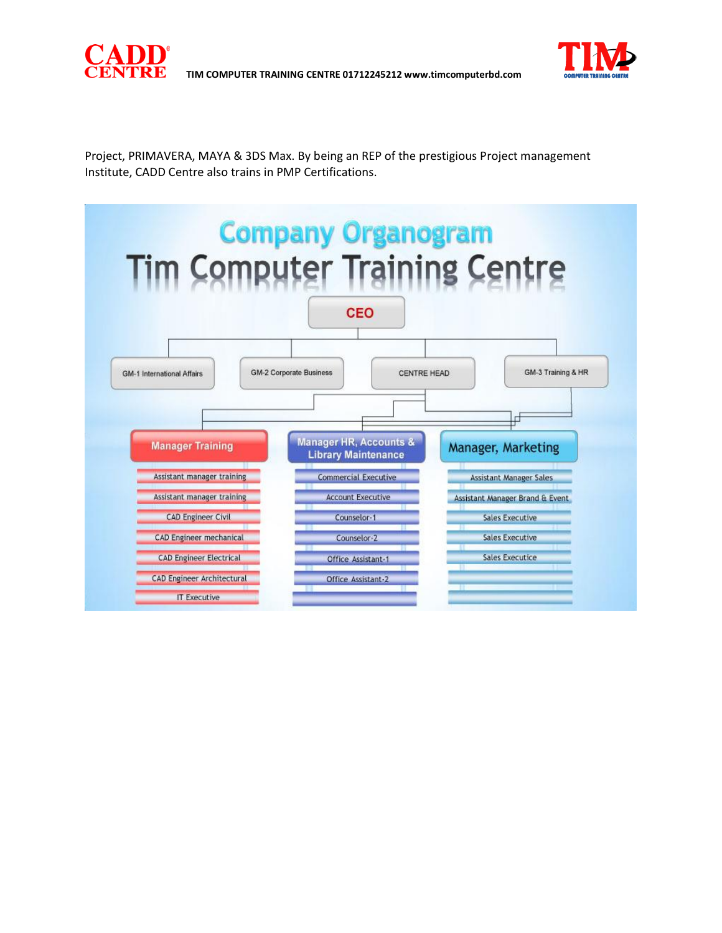

Project, PRIMAVERA, MAYA & 3DS Max. By being an REP of the prestigious Project management Institute, CADD Centre also trains in PMP Certifications.

 **TIM COMPUTER TRAINING CENTRE 01712245212 www.timcomputerbd.com**

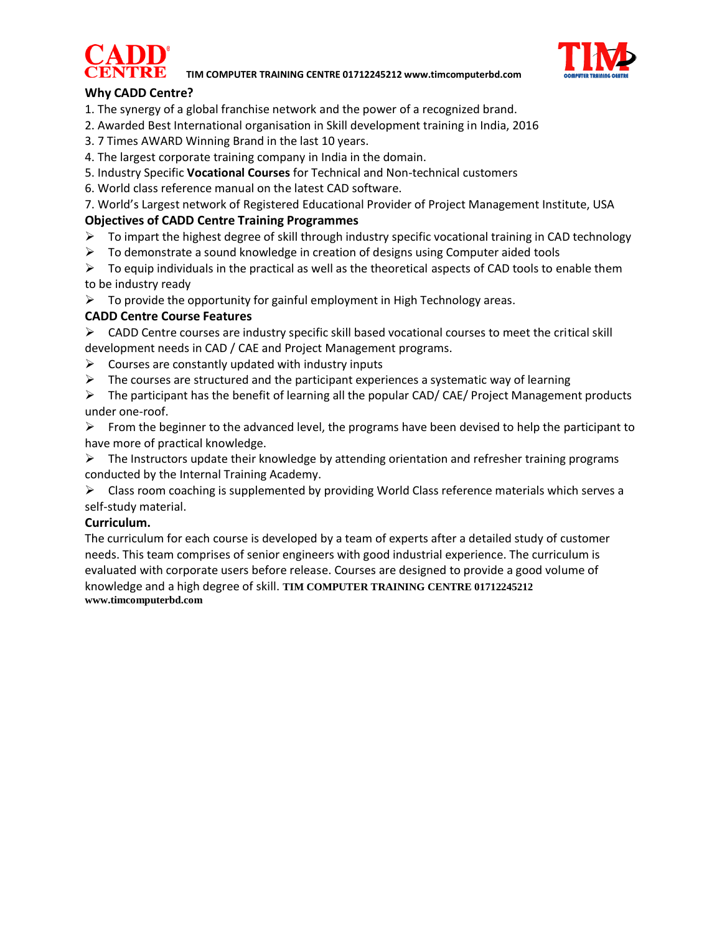



# **Why CADD Centre?**

- 1. The synergy of a global franchise network and the power of a recognized brand.
- 2. Awarded Best International organisation in Skill development training in India, 2016
- 3. 7 Times AWARD Winning Brand in the last 10 years.
- 4. The largest corporate training company in India in the domain.
- 5. Industry Specific **Vocational Courses** for Technical and Non-technical customers
- 6. World class reference manual on the latest CAD software.

7. World's Largest network of Registered Educational Provider of Project Management Institute, USA **Objectives of CADD Centre Training Programmes** 

- $\triangleright$  To impart the highest degree of skill through industry specific vocational training in CAD technology
- $\triangleright$  To demonstrate a sound knowledge in creation of designs using Computer aided tools
- $\triangleright$  To equip individuals in the practical as well as the theoretical aspects of CAD tools to enable them to be industry ready
- $\triangleright$  To provide the opportunity for gainful employment in High Technology areas.

# **CADD Centre Course Features**

 $\triangleright$  CADD Centre courses are industry specific skill based vocational courses to meet the critical skill development needs in CAD / CAE and Project Management programs.

- $\triangleright$  Courses are constantly updated with industry inputs
- $\triangleright$  The courses are structured and the participant experiences a systematic way of learning

 $\triangleright$  The participant has the benefit of learning all the popular CAD/ CAE/ Project Management products under one-roof.

 $\triangleright$  From the beginner to the advanced level, the programs have been devised to help the participant to have more of practical knowledge.

 $\triangleright$  The Instructors update their knowledge by attending orientation and refresher training programs conducted by the Internal Training Academy.

 $\triangleright$  Class room coaching is supplemented by providing World Class reference materials which serves a self-study material.

## **Curriculum.**

The curriculum for each course is developed by a team of experts after a detailed study of customer needs. This team comprises of senior engineers with good industrial experience. The curriculum is evaluated with corporate users before release. Courses are designed to provide a good volume of knowledge and a high degree of skill. **TIM COMPUTER TRAINING CENTRE 01712245212 www.timcomputerbd.com**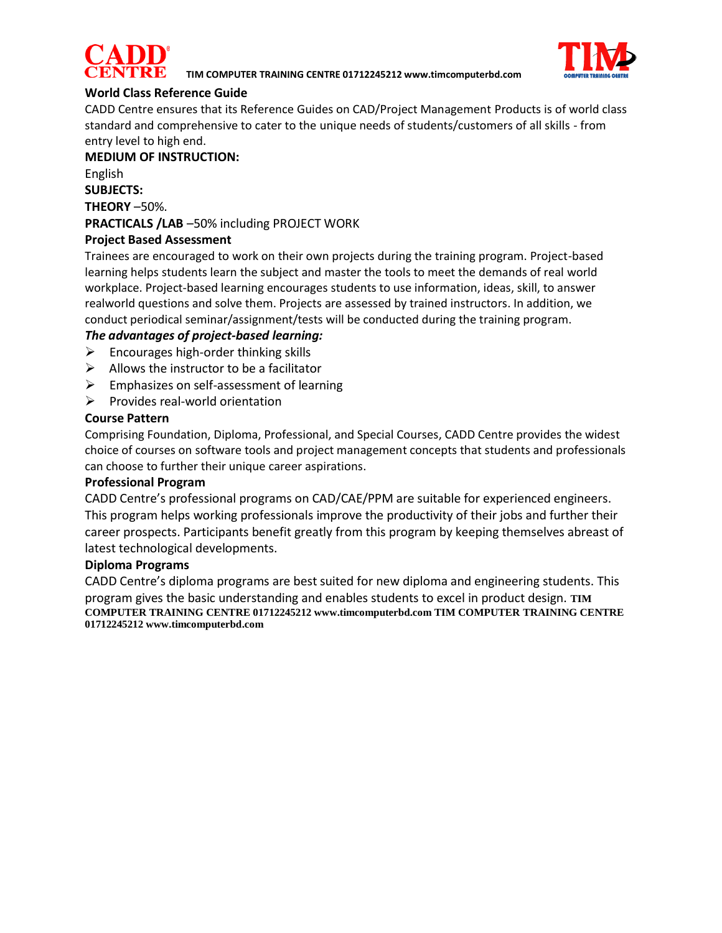



# **World Class Reference Guide**

CADD Centre ensures that its Reference Guides on CAD/Project Management Products is of world class standard and comprehensive to cater to the unique needs of students/customers of all skills - from entry level to high end.

#### **MEDIUM OF INSTRUCTION:**

English

# **SUBJECTS:**

**THEORY** –50%.

# **PRACTICALS /LAB** –50% including PROJECT WORK

# **Project Based Assessment**

Trainees are encouraged to work on their own projects during the training program. Project-based learning helps students learn the subject and master the tools to meet the demands of real world workplace. Project-based learning encourages students to use information, ideas, skill, to answer realworld questions and solve them. Projects are assessed by trained instructors. In addition, we conduct periodical seminar/assignment/tests will be conducted during the training program.

# *The advantages of project-based learning:*

- $\triangleright$  Encourages high-order thinking skills
- $\triangleright$  Allows the instructor to be a facilitator
- $\triangleright$  Emphasizes on self-assessment of learning
- $\triangleright$  Provides real-world orientation

### **Course Pattern**

Comprising Foundation, Diploma, Professional, and Special Courses, CADD Centre provides the widest choice of courses on software tools and project management concepts that students and professionals can choose to further their unique career aspirations.

#### **Professional Program**

CADD Centre's professional programs on CAD/CAE/PPM are suitable for experienced engineers. This program helps working professionals improve the productivity of their jobs and further their career prospects. Participants benefit greatly from this program by keeping themselves abreast of latest technological developments.

#### **Diploma Programs**

CADD Centre's diploma programs are best suited for new diploma and engineering students. This program gives the basic understanding and enables students to excel in product design. **TIM COMPUTER TRAINING CENTRE 01712245212 www.timcomputerbd.com TIM COMPUTER TRAINING CENTRE 01712245212 www.timcomputerbd.com**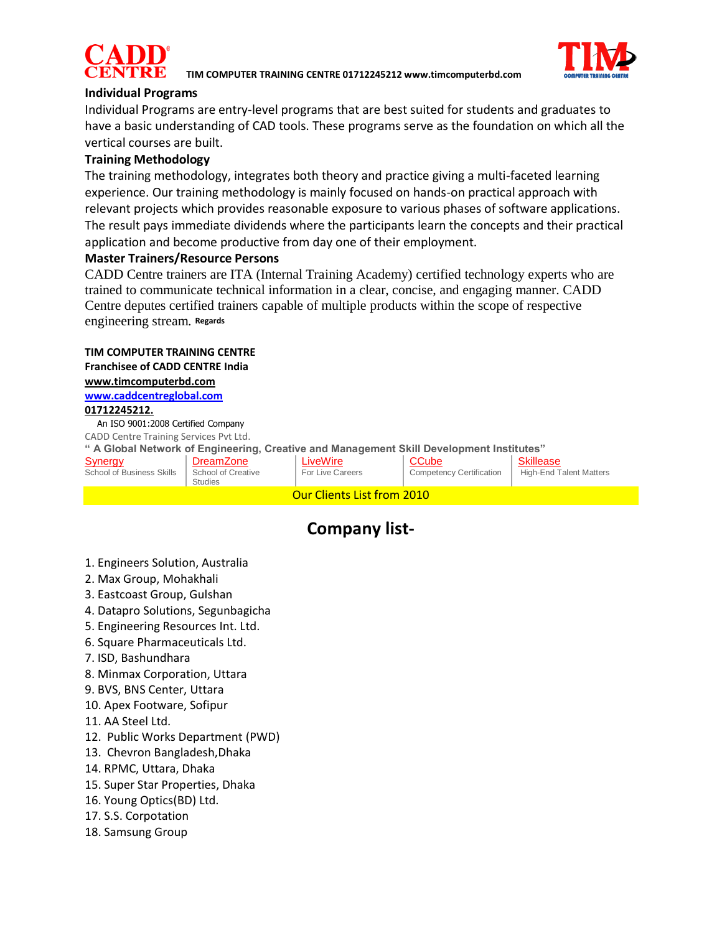



## **Individual Programs**

Individual Programs are entry-level programs that are best suited for students and graduates to have a basic understanding of CAD tools. These programs serve as the foundation on which all the vertical courses are built.

## **Training Methodology**

The training methodology, integrates both theory and practice giving a multi-faceted learning experience. Our training methodology is mainly focused on hands-on practical approach with relevant projects which provides reasonable exposure to various phases of software applications. The result pays immediate dividends where the participants learn the concepts and their practical application and become productive from day one of their employment.

#### **Master Trainers/Resource Persons**

CADD Centre trainers are ITA (Internal Training Academy) certified technology experts who are trained to communicate technical information in a clear, concise, and engaging manner. CADD Centre deputes certified trainers capable of multiple products within the scope of respective engineering stream. **Regards**

# **TIM COMPUTER TRAINING CENTRE Franchisee of CADD CENTRE India**

**[www.timcomputerbd.com](http://www.timcomputerbd.com/) [www.caddcentreglobal.com](http://www.caddcentreglobal.com/)**

#### **01712245212.**

 An ISO 9001:2008 Certified Company CADD Centre Training Services Pvt Ltd.

**" A Global Network of Engineering, Creative and Management Skill Development Institutes"** [LiveWire](http://livewireindia.com/)

| S <u>ynergy</u> |                                  |  |
|-----------------|----------------------------------|--|
|                 | <b>School of Business Skills</b> |  |

**[DreamZone](http://www.dreamzone.co.in/) School of Creative** Studies

For Live Careers **[CCube](http://www.ccube.asia/)** 

Competency Certification

[Skillease](http://www.skillease.co.in/) High-End Talent Matters

# **Company list-**

Our Clients List from 2010

- 1. Engineers Solution, Australia
- 2. Max Group, Mohakhali
- 3. Eastcoast Group, Gulshan
- 4. Datapro Solutions, Segunbagicha
- 5. Engineering Resources Int. Ltd.
- 6. Square Pharmaceuticals Ltd.
- 7. ISD, Bashundhara
- 8. Minmax Corporation, Uttara
- 9. BVS, BNS Center, Uttara
- 10. Apex Footware, Sofipur
- 11. AA Steel Ltd.
- 12. Public Works Department (PWD)
- 13. Chevron Bangladesh,Dhaka
- 14. RPMC, Uttara, Dhaka
- 15. Super Star Properties, Dhaka
- 16. Young Optics(BD) Ltd.
- 17. S.S. Corpotation
- 18. Samsung Group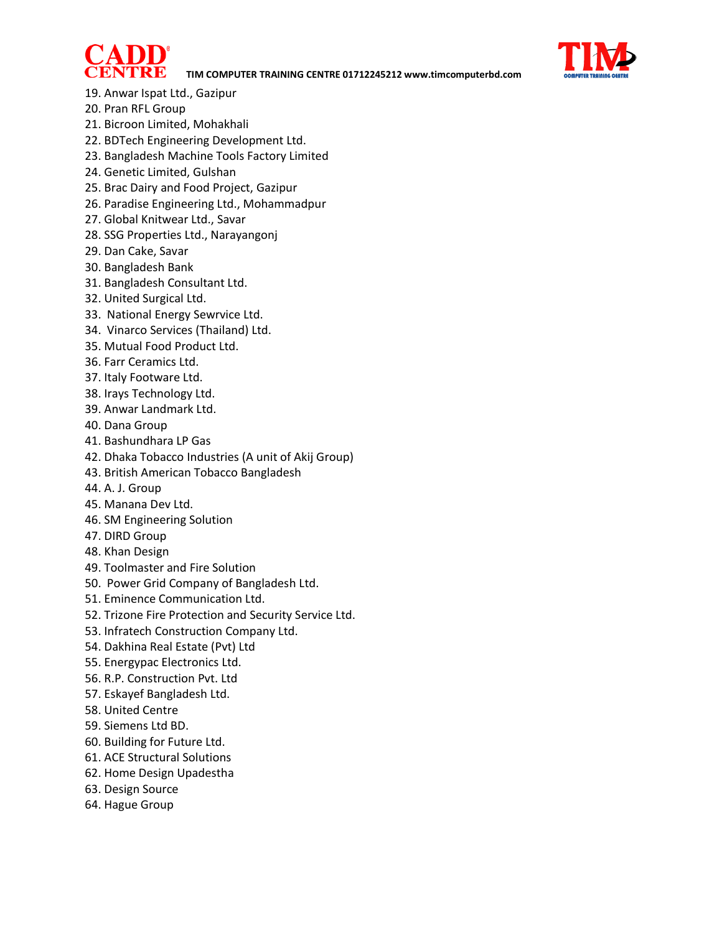



- 19. Anwar Ispat Ltd., Gazipur
- 20. Pran RFL Group
- 21. Bicroon Limited, Mohakhali
- 22. BDTech Engineering Development Ltd.
- 23. Bangladesh Machine Tools Factory Limited
- 24. Genetic Limited, Gulshan
- 25. Brac Dairy and Food Project, Gazipur
- 26. Paradise Engineering Ltd., Mohammadpur
- 27. Global Knitwear Ltd., Savar
- 28. SSG Properties Ltd., Narayangonj
- 29. Dan Cake, Savar
- 30. Bangladesh Bank
- 31. Bangladesh Consultant Ltd.
- 32. United Surgical Ltd.
- 33. National Energy Sewrvice Ltd.
- 34. Vinarco Services (Thailand) Ltd.
- 35. Mutual Food Product Ltd.
- 36. Farr Ceramics Ltd.
- 37. Italy Footware Ltd.
- 38. Irays Technology Ltd.
- 39. Anwar Landmark Ltd.
- 40. Dana Group
- 41. Bashundhara LP Gas
- 42. Dhaka Tobacco Industries (A unit of Akij Group)
- 43. British American Tobacco Bangladesh
- 44. A. J. Group
- 45. Manana Dev Ltd.
- 46. SM Engineering Solution
- 47. DIRD Group
- 48. Khan Design
- 49. Toolmaster and Fire Solution
- 50. Power Grid Company of Bangladesh Ltd.
- 51. Eminence Communication Ltd.
- 52. Trizone Fire Protection and Security Service Ltd.
- 53. Infratech Construction Company Ltd.
- 54. Dakhina Real Estate (Pvt) Ltd
- 55. Energypac Electronics Ltd.
- 56. R.P. Construction Pvt. Ltd
- 57. Eskayef Bangladesh Ltd.
- 58. United Centre
- 59. Siemens Ltd BD.
- 60. Building for Future Ltd.
- 61. ACE Structural Solutions
- 62. Home Design Upadestha
- 63. Design Source
- 64. Hague Group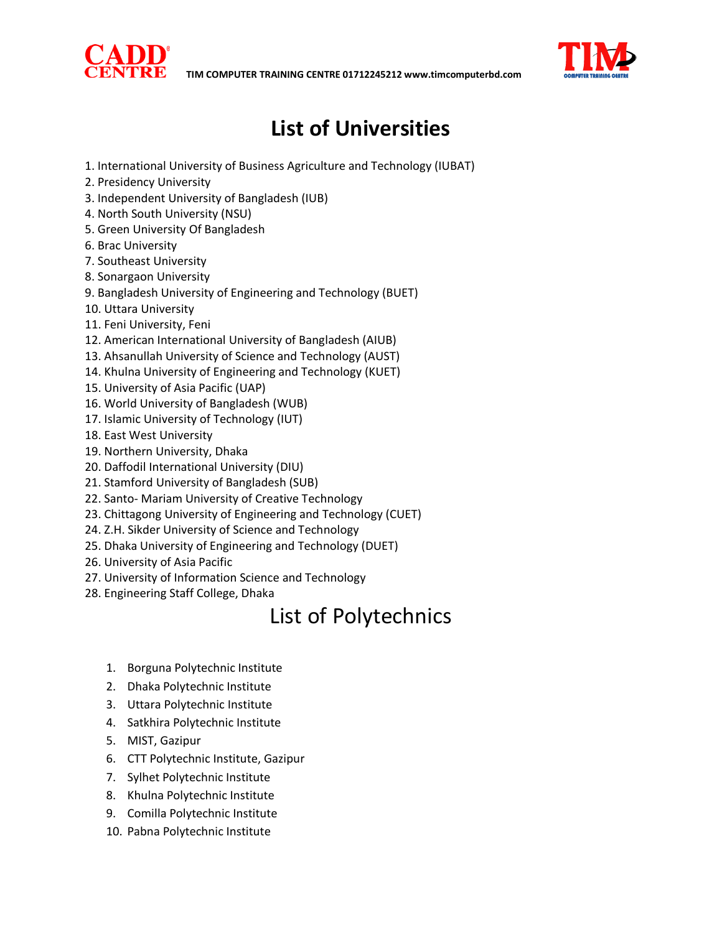



# **List of Universities**

- 1. International University of Business Agriculture and Technology (IUBAT)
- 2. Presidency University
- 3. Independent University of Bangladesh (IUB)
- 4. North South University (NSU)
- 5. Green University Of Bangladesh
- 6. Brac University
- 7. Southeast University
- 8. Sonargaon University
- 9. Bangladesh University of Engineering and Technology (BUET)
- 10. Uttara University
- 11. Feni University, Feni
- 12. American International University of Bangladesh (AIUB)
- 13. Ahsanullah University of Science and Technology (AUST)
- 14. Khulna University of Engineering and Technology (KUET)
- 15. University of Asia Pacific (UAP)
- 16. World University of Bangladesh (WUB)
- 17. Islamic University of Technology (IUT)
- 18. East West University
- 19. Northern University, Dhaka
- 20. Daffodil International University (DIU)
- 21. Stamford University of Bangladesh (SUB)
- 22. Santo- Mariam University of Creative Technology
- 23. Chittagong University of Engineering and Technology (CUET)
- 24. Z.H. Sikder University of Science and Technology
- 25. Dhaka University of Engineering and Technology (DUET)
- 26. University of Asia Pacific
- 27. University of Information Science and Technology
- 28. Engineering Staff College, Dhaka

# List of Polytechnics

- 1. Borguna Polytechnic Institute
- 2. Dhaka Polytechnic Institute
- 3. Uttara Polytechnic Institute
- 4. Satkhira Polytechnic Institute
- 5. MIST, Gazipur
- 6. CTT Polytechnic Institute, Gazipur
- 7. Sylhet Polytechnic Institute
- 8. Khulna Polytechnic Institute
- 9. Comilla Polytechnic Institute
- 10. Pabna Polytechnic Institute